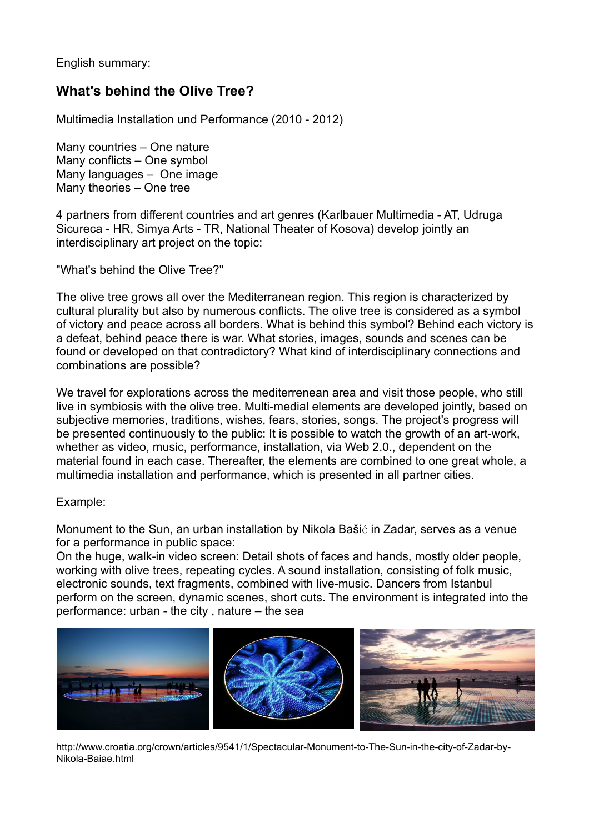English summary:

## **What's behind the Olive Tree?**

Multimedia Installation und Performance (2010 - 2012)

Many countries – One nature Many conflicts – One symbol Many languages – One image Many theories – One tree

4 partners from different countries and art genres (Karlbauer Multimedia - AT, Udruga Sicureca - HR, Simya Arts - TR, National Theater of Kosova) develop jointly an interdisciplinary art project on the topic:

"What's behind the Olive Tree?"

The olive tree grows all over the Mediterranean region. This region is characterized by cultural plurality but also by numerous conflicts. The olive tree is considered as a symbol of victory and peace across all borders. What is behind this symbol? Behind each victory is a defeat, behind peace there is war. What stories, images, sounds and scenes can be found or developed on that contradictory? What kind of interdisciplinary connections and combinations are possible?

We travel for explorations across the mediterrenean area and visit those people, who still live in symbiosis with the olive tree. Multi-medial elements are developed jointly, based on subjective memories, traditions, wishes, fears, stories, songs. The project's progress will be presented continuously to the public: It is possible to watch the growth of an art-work, whether as video, music, performance, installation, via Web 2.0., dependent on the material found in each case. Thereafter, the elements are combined to one great whole, a multimedia installation and performance, which is presented in all partner cities.

## Example:

Monument to the Sun, an urban installation by Nikola Bašić in Zadar, serves as a venue for a performance in public space:

On the huge, walk-in video screen: Detail shots of faces and hands, mostly older people, working with olive trees, repeating cycles. A sound installation, consisting of folk music, electronic sounds, text fragments, combined with live-music. Dancers from Istanbul perform on the screen, dynamic scenes, short cuts. The environment is integrated into the performance: urban - the city , nature – the sea



http://www.croatia.org/crown/articles/9541/1/Spectacular-Monument-to-The-Sun-in-the-city-of-Zadar-by-Nikola-Baiae.html